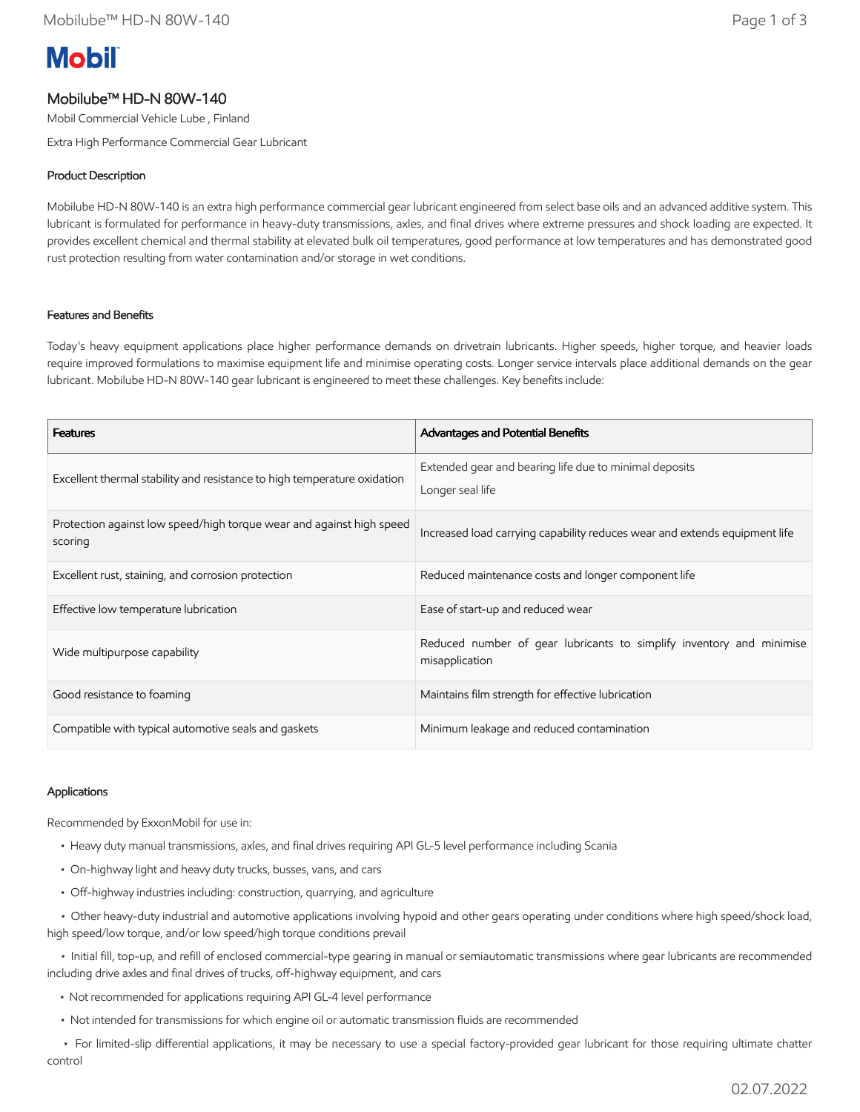# **Mobil**

## Mobilube™ HD-N 80W-140

Mobil Commercial Vehicle Lube , Finland

Extra High Performance Commercial Gear Lubricant

## Product Description

Mobilube HD-N 80W-140 is an extra high performance commercial gear lubricant engineered from select base oils and an advanced additive system. This lubricant is formulated for performance in heavy-duty transmissions, axles, and final drives where extreme pressures and shock loading are expected. It provides excellent chemical and thermal stability at elevated bulk oil temperatures, good performance at low temperatures and has demonstrated good rust protection resulting from water contamination and/or storage in wet conditions.

#### Features and Benefits

Today's heavy equipment applications place higher performance demands on drivetrain lubricants. Higher speeds, higher torque, and heavier loads require improved formulations to maximise equipment life and minimise operating costs. Longer service intervals place additional demands on the gear lubricant. Mobilube HD-N 80W-140 gear lubricant is engineered to meet these challenges. Key benefits include:

| <b>Features</b>                                                                 | Advantages and Potential Benefits                                                      |
|---------------------------------------------------------------------------------|----------------------------------------------------------------------------------------|
| Excellent thermal stability and resistance to high temperature oxidation        | Extended gear and bearing life due to minimal deposits<br>Longer seal life             |
| Protection against low speed/high torque wear and against high speed<br>scoring | Increased load carrying capability reduces wear and extends equipment life             |
| Excellent rust, staining, and corrosion protection                              | Reduced maintenance costs and longer component life                                    |
| Effective low temperature lubrication                                           | Ease of start-up and reduced wear                                                      |
| Wide multipurpose capability                                                    | Reduced number of gear lubricants to simplify inventory and minimise<br>misapplication |
| Good resistance to foaming                                                      | Maintains film strength for effective lubrication                                      |
| Compatible with typical automotive seals and gaskets                            | Minimum leakage and reduced contamination                                              |

#### Applications

Recommended by ExxonMobil for use in:

- Heavy duty manual transmissions, axles, and final drives requiring API GL-5 level performance including Scania
- On-highway light and heavy duty trucks, busses, vans, and cars
- Off-highway industries including: construction, quarrying, and agriculture

 • Other heavy-duty industrial and automotive applications involving hypoid and other gears operating under conditions where high speed/shock load, high speed/low torque, and/or low speed/high torque conditions prevail

 • Initial fill, top-up, and refill of enclosed commercial-type gearing in manual or semiautomatic transmissions where gear lubricants are recommended including drive axles and final drives of trucks, off-highway equipment, and cars

- Not recommended for applications requiring API GL-4 level performance
- Not intended for transmissions for which engine oil or automatic transmission fluids are recommended

 • For limited-slip differential applications, it may be necessary to use a special factory-provided gear lubricant for those requiring ultimate chatter control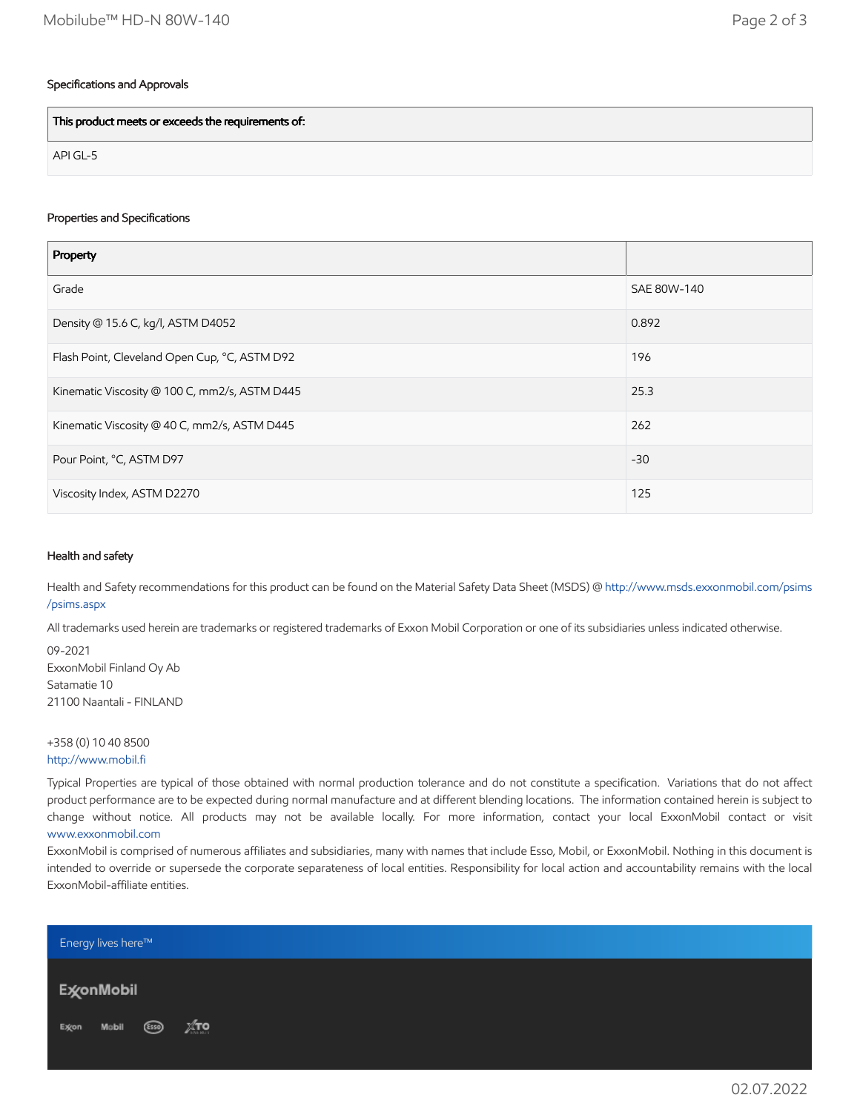## Specifications and Approvals

This product meets or exceeds the requirements of:

API GL-5

## Properties and Specifications

| Property                                      |             |
|-----------------------------------------------|-------------|
| Grade                                         | SAE 80W-140 |
| Density @ 15.6 C, kg/l, ASTM D4052            | 0.892       |
| Flash Point, Cleveland Open Cup, °C, ASTM D92 | 196         |
| Kinematic Viscosity @ 100 C, mm2/s, ASTM D445 | 25.3        |
| Kinematic Viscosity @ 40 C, mm2/s, ASTM D445  | 262         |
| Pour Point, °C, ASTM D97                      | $-30$       |
| Viscosity Index, ASTM D2270                   | 125         |

#### Health and safety

Health and Safety recommendations for this product can be found on the Material Safety Data Sheet (MSDS) @ [http://www.msds.exxonmobil.com/psims](http://www.msds.exxonmobil.com/psims/psims.aspx) /psims.aspx

All trademarks used herein are trademarks or registered trademarks of Exxon Mobil Corporation or one of its subsidiaries unless indicated otherwise.

09-2021 ExxonMobil Finland Oy Ab Satamatie 10 21100 Naantali - FINLAND

+358 (0) 10 40 8500 [http://www.mobil.fi](http://www.mobil.fi/)

Typical Properties are typical of those obtained with normal production tolerance and do not constitute a specification. Variations that do not affect product performance are to be expected during normal manufacture and at different blending locations. The information contained herein is subject to change without notice. All products may not be available locally. For more information, contact your local ExxonMobil contact or visit [www.exxonmobil.com](http://www.exxonmobil.com/)

ExxonMobil is comprised of numerous affiliates and subsidiaries, many with names that include Esso, Mobil, or ExxonMobil. Nothing in this document is intended to override or supersede the corporate separateness of local entities. Responsibility for local action and accountability remains with the local ExxonMobil-affiliate entities.